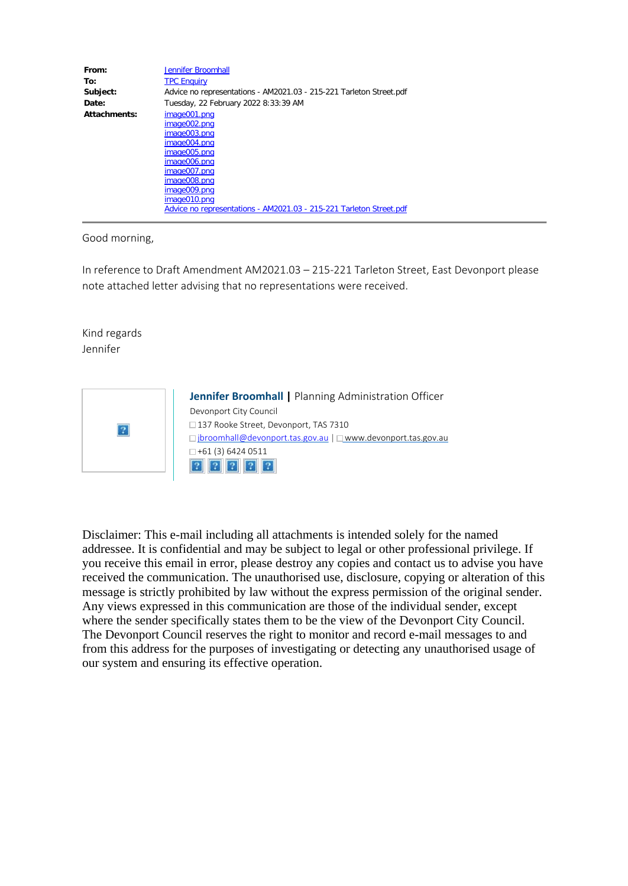| From:        | <b>Jennifer Broomhall</b>                                           |
|--------------|---------------------------------------------------------------------|
| To:          | <b>TPC Enquiry</b>                                                  |
| Subject:     | Advice no representations - AM2021.03 - 215-221 Tarleton Street.pdf |
| Date:        | Tuesday, 22 February 2022 8:33:39 AM                                |
| Attachments: | image001.png                                                        |
|              | image002.png                                                        |
|              | image003.png                                                        |
|              | image004.png                                                        |
|              | image005.png                                                        |
|              | image006.png                                                        |
|              | image007.png                                                        |
|              | image008.png                                                        |
|              | image009.png                                                        |
|              | image010.png                                                        |
|              | Advice no representations - AM2021.03 - 215-221 Tarleton Street.pdf |

Good morning,

In reference to Draft Amendment AM2021.03 – 215-221 Tarleton Street, East Devonport please note attached letter advising that no representations were received.

Kind regards Jennifer



**Jennifer Broomhall |** Planning Administration Officer Devonport City Council □137 Rooke Street, Devonport, TAS 7310 □ [jbroomhall@devonport.tas.gov.au](mailto:jbroomhall@devonport.tas.gov.au) | □ [www.devonport.tas.gov.au](https://aus01.safelinks.protection.outlook.com/?url=https%3A%2F%2Fdevonport.tas.gov.au%2F&data=04%7C01%7Ctpc%40planning.tas.gov.au%7C76579a7ef9d74f0624a708d9f581c860%7Cce3bd35aee3444939df75b9fa88fdf8e%7C0%7C0%7C637810760185209988%7CUnknown%7CTWFpbGZsb3d8eyJWIjoiMC4wLjAwMDAiLCJQIjoiV2luMzIiLCJBTiI6Ik1haWwiLCJXVCI6Mn0%3D%7C3000&sdata=qtZxwso6lMl9QYu0xqYI0Lya4B2bS%2F479TJoG%2FoPnNw%3D&reserved=0)  $\Box$ +61 (3) 6424 0511  $2222$ 

Disclaimer: This e-mail including all attachments is intended solely for the named addressee. It is confidential and may be subject to legal or other professional privilege. If you receive this email in error, please destroy any copies and contact us to advise you have received the communication. The unauthorised use, disclosure, copying or alteration of this message is strictly prohibited by law without the express permission of the original sender. Any views expressed in this communication are those of the individual sender, except where the sender specifically states them to be the view of the Devonport City Council. The Devonport Council reserves the right to monitor and record e-mail messages to and from this address for the purposes of investigating or detecting any unauthorised usage of our system and ensuring its effective operation.